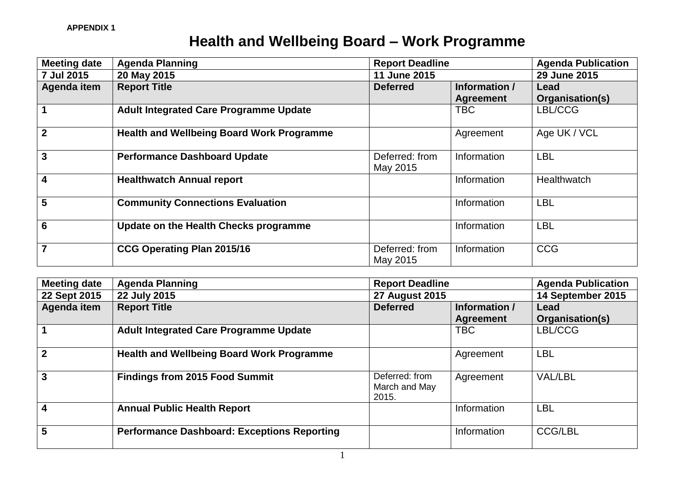## **Health and Wellbeing Board – Work Programme**

| <b>Meeting date</b> | <b>Agenda Planning</b>                           | <b>Report Deadline</b>     |                  | <b>Agenda Publication</b> |
|---------------------|--------------------------------------------------|----------------------------|------------------|---------------------------|
| 7 Jul 2015          | 20 May 2015                                      | 11 June 2015               |                  | 29 June 2015              |
| Agenda item         | <b>Report Title</b>                              | <b>Deferred</b>            | Information /    | Lead                      |
|                     |                                                  |                            | <b>Agreement</b> | Organisation(s)           |
|                     | <b>Adult Integrated Care Programme Update</b>    |                            | <b>TBC</b>       | LBL/CCG                   |
| $\mathbf{2}$        | <b>Health and Wellbeing Board Work Programme</b> |                            | Agreement        | Age UK / VCL              |
| 3                   | <b>Performance Dashboard Update</b>              | Deferred: from<br>May 2015 | Information      | <b>LBL</b>                |
| 4                   | <b>Healthwatch Annual report</b>                 |                            | Information      | Healthwatch               |
| 5                   | <b>Community Connections Evaluation</b>          |                            | Information      | <b>LBL</b>                |
| 6                   | Update on the Health Checks programme            |                            | Information      | <b>LBL</b>                |
| $\overline{7}$      | CCG Operating Plan 2015/16                       | Deferred: from<br>May 2015 | Information      | <b>CCG</b>                |

| <b>Meeting date</b> | <b>Agenda Planning</b>                             | <b>Report Deadline</b>                   |                  | <b>Agenda Publication</b> |
|---------------------|----------------------------------------------------|------------------------------------------|------------------|---------------------------|
| 22 Sept 2015        | 22 July 2015                                       | <b>27 August 2015</b>                    |                  | 14 September 2015         |
| Agenda item         | <b>Report Title</b>                                | <b>Deferred</b>                          | Information /    | Lead                      |
|                     |                                                    |                                          | <b>Agreement</b> | Organisation(s)           |
|                     | <b>Adult Integrated Care Programme Update</b>      |                                          | <b>TBC</b>       | LBL/CCG                   |
| $\mathbf{2}$        | <b>Health and Wellbeing Board Work Programme</b>   |                                          | Agreement        | LBL                       |
| 3                   | <b>Findings from 2015 Food Summit</b>              | Deferred: from<br>March and May<br>2015. | Agreement        | <b>VAL/LBL</b>            |
|                     | <b>Annual Public Health Report</b>                 |                                          | Information      | LBL                       |
| 5                   | <b>Performance Dashboard: Exceptions Reporting</b> |                                          | Information      | <b>CCG/LBL</b>            |